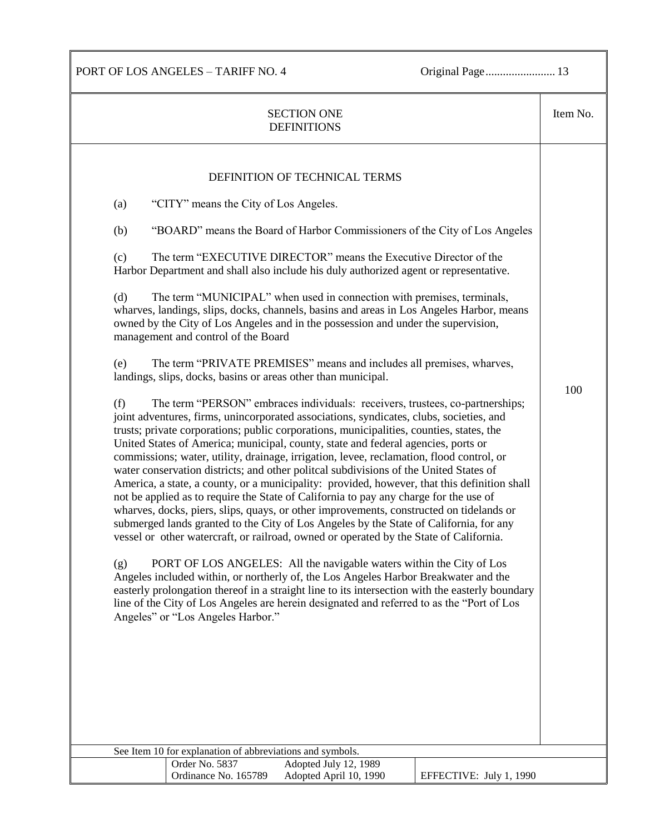PORT OF LOS ANGELES – TARIFF NO. 4 Original Page........................ 13

| <b>SECTION ONE</b><br><b>DEFINITIONS</b>                                                                                                                                                                                                                                                                                                                                                                                                                                                                                                                                                                                                                                                                                                                                                                                                                                                                                                                                                                                                                                                                                                                                                                                                                                                                                                                                                                                                                                                                                                                                                                                                                                                                                                                                                                                                                                                                                                                                                                                                                                                                                                                                                                                                      | Item No. |
|-----------------------------------------------------------------------------------------------------------------------------------------------------------------------------------------------------------------------------------------------------------------------------------------------------------------------------------------------------------------------------------------------------------------------------------------------------------------------------------------------------------------------------------------------------------------------------------------------------------------------------------------------------------------------------------------------------------------------------------------------------------------------------------------------------------------------------------------------------------------------------------------------------------------------------------------------------------------------------------------------------------------------------------------------------------------------------------------------------------------------------------------------------------------------------------------------------------------------------------------------------------------------------------------------------------------------------------------------------------------------------------------------------------------------------------------------------------------------------------------------------------------------------------------------------------------------------------------------------------------------------------------------------------------------------------------------------------------------------------------------------------------------------------------------------------------------------------------------------------------------------------------------------------------------------------------------------------------------------------------------------------------------------------------------------------------------------------------------------------------------------------------------------------------------------------------------------------------------------------------------|----------|
| DEFINITION OF TECHNICAL TERMS<br>"CITY" means the City of Los Angeles.<br>(a)<br>(b)<br>"BOARD" means the Board of Harbor Commissioners of the City of Los Angeles<br>The term "EXECUTIVE DIRECTOR" means the Executive Director of the<br>(c)<br>Harbor Department and shall also include his duly authorized agent or representative.<br>The term "MUNICIPAL" when used in connection with premises, terminals,<br>(d)<br>wharves, landings, slips, docks, channels, basins and areas in Los Angeles Harbor, means<br>owned by the City of Los Angeles and in the possession and under the supervision,<br>management and control of the Board<br>The term "PRIVATE PREMISES" means and includes all premises, wharves,<br>(e)<br>landings, slips, docks, basins or areas other than municipal.<br>(f)<br>The term "PERSON" embraces individuals: receivers, trustees, co-partnerships;<br>joint adventures, firms, unincorporated associations, syndicates, clubs, societies, and<br>trusts; private corporations; public corporations, municipalities, counties, states, the<br>United States of America; municipal, county, state and federal agencies, ports or<br>commissions; water, utility, drainage, irrigation, levee, reclamation, flood control, or<br>water conservation districts; and other politcal subdivisions of the United States of<br>America, a state, a county, or a municipality: provided, however, that this definition shall<br>not be applied as to require the State of California to pay any charge for the use of<br>wharves, docks, piers, slips, quays, or other improvements, constructed on tidelands or<br>submerged lands granted to the City of Los Angeles by the State of California, for any<br>vessel or other watercraft, or railroad, owned or operated by the State of California.<br>PORT OF LOS ANGELES: All the navigable waters within the City of Los<br>(g)<br>Angeles included within, or northerly of, the Los Angeles Harbor Breakwater and the<br>easterly prolongation thereof in a straight line to its intersection with the easterly boundary<br>line of the City of Los Angeles are herein designated and referred to as the "Port of Los<br>Angeles" or "Los Angeles Harbor." | 100      |
| See Item 10 for explanation of abbreviations and symbols.<br>Adopted July 12, 1989<br>Order No. 5837<br>Ordinance No. 165789<br>Adopted April 10, 1990<br>EFFECTIVE: July 1, 1990                                                                                                                                                                                                                                                                                                                                                                                                                                                                                                                                                                                                                                                                                                                                                                                                                                                                                                                                                                                                                                                                                                                                                                                                                                                                                                                                                                                                                                                                                                                                                                                                                                                                                                                                                                                                                                                                                                                                                                                                                                                             |          |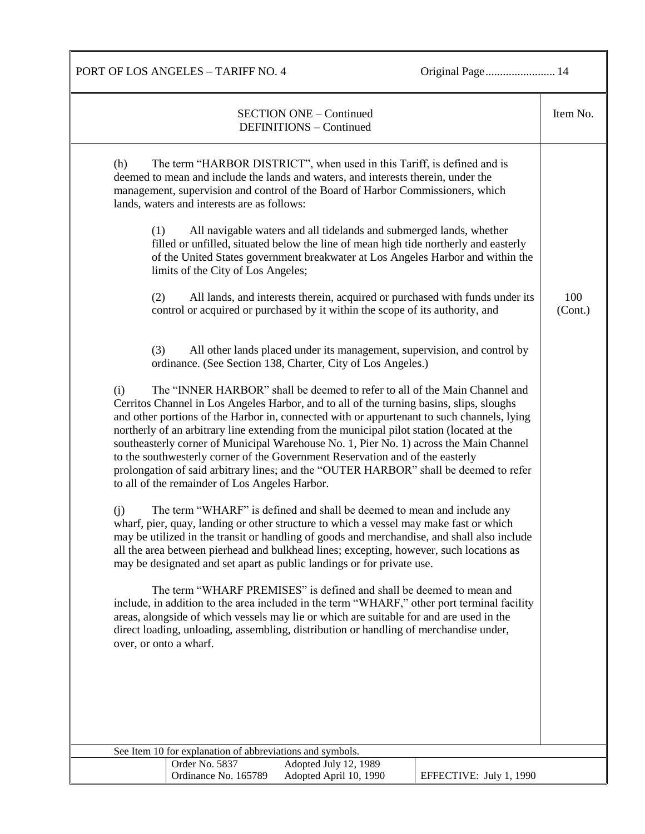PORT OF LOS ANGELES – TARIFF NO. 4 Original Page................................. 14

| <b>SECTION ONE - Continued</b><br>DEFINITIONS - Continued                                                                                                                                                                                                                                                                                                                                                                                                                                                                                                                                                                                                                                                                                                                                                                                                                                                                                                                                                                                                                                                                                                                                                                                                                                                                                                                                                                                                                                                                                                                                                                                                                                                                                                                                                                                                                                                                                                                                                                                                                                                                                                                                                                                                                                                                                                                                                                                   | Item No.       |
|---------------------------------------------------------------------------------------------------------------------------------------------------------------------------------------------------------------------------------------------------------------------------------------------------------------------------------------------------------------------------------------------------------------------------------------------------------------------------------------------------------------------------------------------------------------------------------------------------------------------------------------------------------------------------------------------------------------------------------------------------------------------------------------------------------------------------------------------------------------------------------------------------------------------------------------------------------------------------------------------------------------------------------------------------------------------------------------------------------------------------------------------------------------------------------------------------------------------------------------------------------------------------------------------------------------------------------------------------------------------------------------------------------------------------------------------------------------------------------------------------------------------------------------------------------------------------------------------------------------------------------------------------------------------------------------------------------------------------------------------------------------------------------------------------------------------------------------------------------------------------------------------------------------------------------------------------------------------------------------------------------------------------------------------------------------------------------------------------------------------------------------------------------------------------------------------------------------------------------------------------------------------------------------------------------------------------------------------------------------------------------------------------------------------------------------------|----------------|
| The term "HARBOR DISTRICT", when used in this Tariff, is defined and is<br>(h)<br>deemed to mean and include the lands and waters, and interests therein, under the<br>management, supervision and control of the Board of Harbor Commissioners, which<br>lands, waters and interests are as follows:<br>All navigable waters and all tidelands and submerged lands, whether<br>(1)<br>filled or unfilled, situated below the line of mean high tide northerly and easterly<br>of the United States government breakwater at Los Angeles Harbor and within the<br>limits of the City of Los Angeles;<br>(2)<br>All lands, and interests therein, acquired or purchased with funds under its<br>control or acquired or purchased by it within the scope of its authority, and<br>All other lands placed under its management, supervision, and control by<br>(3)<br>ordinance. (See Section 138, Charter, City of Los Angeles.)<br>The "INNER HARBOR" shall be deemed to refer to all of the Main Channel and<br>(i)<br>Cerritos Channel in Los Angeles Harbor, and to all of the turning basins, slips, sloughs<br>and other portions of the Harbor in, connected with or appurtenant to such channels, lying<br>northerly of an arbitrary line extending from the municipal pilot station (located at the<br>southeasterly corner of Municipal Warehouse No. 1, Pier No. 1) across the Main Channel<br>to the southwesterly corner of the Government Reservation and of the easterly<br>prolongation of said arbitrary lines; and the "OUTER HARBOR" shall be deemed to refer<br>to all of the remainder of Los Angeles Harbor.<br>The term "WHARF" is defined and shall be deemed to mean and include any<br>(i)<br>wharf, pier, quay, landing or other structure to which a vessel may make fast or which<br>may be utilized in the transit or handling of goods and merchandise, and shall also include<br>all the area between pierhead and bulkhead lines; excepting, however, such locations as<br>may be designated and set apart as public landings or for private use.<br>The term "WHARF PREMISES" is defined and shall be deemed to mean and<br>include, in addition to the area included in the term "WHARF," other port terminal facility<br>areas, alongside of which vessels may lie or which are suitable for and are used in the<br>direct loading, unloading, assembling, distribution or handling of merchandise under, | 100<br>(Cont.) |
| over, or onto a wharf.                                                                                                                                                                                                                                                                                                                                                                                                                                                                                                                                                                                                                                                                                                                                                                                                                                                                                                                                                                                                                                                                                                                                                                                                                                                                                                                                                                                                                                                                                                                                                                                                                                                                                                                                                                                                                                                                                                                                                                                                                                                                                                                                                                                                                                                                                                                                                                                                                      |                |
|                                                                                                                                                                                                                                                                                                                                                                                                                                                                                                                                                                                                                                                                                                                                                                                                                                                                                                                                                                                                                                                                                                                                                                                                                                                                                                                                                                                                                                                                                                                                                                                                                                                                                                                                                                                                                                                                                                                                                                                                                                                                                                                                                                                                                                                                                                                                                                                                                                             |                |
| See Item 10 for explanation of abbreviations and symbols.                                                                                                                                                                                                                                                                                                                                                                                                                                                                                                                                                                                                                                                                                                                                                                                                                                                                                                                                                                                                                                                                                                                                                                                                                                                                                                                                                                                                                                                                                                                                                                                                                                                                                                                                                                                                                                                                                                                                                                                                                                                                                                                                                                                                                                                                                                                                                                                   |                |
| Adopted July 12, 1989<br>Order No. 5837                                                                                                                                                                                                                                                                                                                                                                                                                                                                                                                                                                                                                                                                                                                                                                                                                                                                                                                                                                                                                                                                                                                                                                                                                                                                                                                                                                                                                                                                                                                                                                                                                                                                                                                                                                                                                                                                                                                                                                                                                                                                                                                                                                                                                                                                                                                                                                                                     |                |
| Ordinance No. 165789<br>Adopted April 10, 1990<br>EFFECTIVE: July 1, 1990                                                                                                                                                                                                                                                                                                                                                                                                                                                                                                                                                                                                                                                                                                                                                                                                                                                                                                                                                                                                                                                                                                                                                                                                                                                                                                                                                                                                                                                                                                                                                                                                                                                                                                                                                                                                                                                                                                                                                                                                                                                                                                                                                                                                                                                                                                                                                                   |                |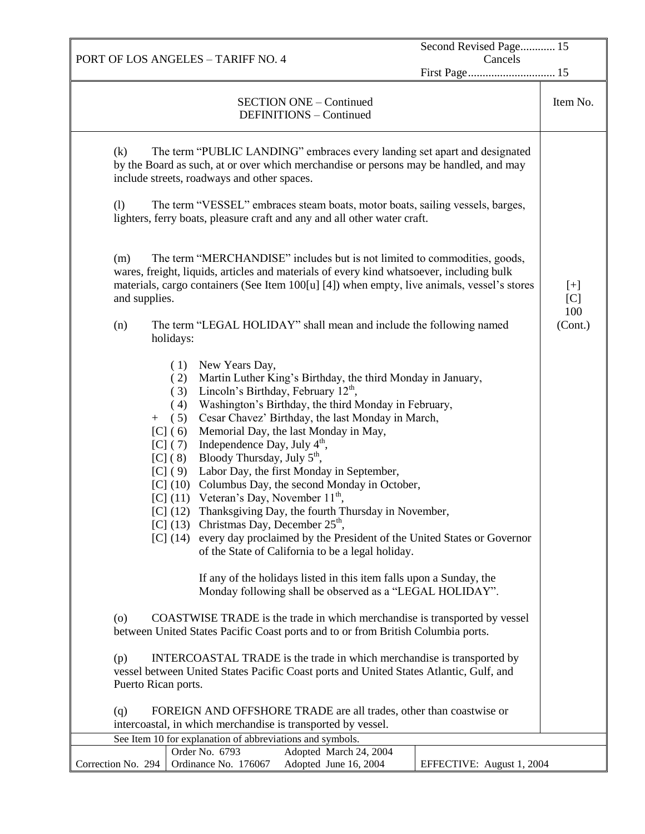PORT OF LOS ANGELES – TARIFF NO. 4 Second Revised Page............ 15 Cancels First Page.............................. 15 SECTION ONE – Continued DEFINITIONS – Continued Item No. (k) The term "PUBLIC LANDING" embraces every landing set apart and designated by the Board as such, at or over which merchandise or persons may be handled, and may include streets, roadways and other spaces. (l) The term "VESSEL" embraces steam boats, motor boats, sailing vessels, barges, lighters, ferry boats, pleasure craft and any and all other water craft. (m) The term "MERCHANDISE" includes but is not limited to commodities, goods, wares, freight, liquids, articles and materials of every kind whatsoever, including bulk materials, cargo containers (See Item 100[u] [4]) when empty, live animals, vessel's stores and supplies. (n) The term "LEGAL HOLIDAY" shall mean and include the following named holidays: ( 1) New Years Day, ( 2) Martin Luther King's Birthday, the third Monday in January, (3) Lincoln's Birthday, February  $12<sup>th</sup>$ , ( 4) Washington's Birthday, the third Monday in February, + ( 5) Cesar Chavez' Birthday, the last Monday in March, [C] (6) Memorial Day, the last Monday in May, [C] (7) Independence Day, July  $4<sup>th</sup>$ , [C] (8) Bloody Thursday, July  $5<sup>th</sup>$ , [C] (9) Labor Day, the first Monday in September, [C] (10) Columbus Day, the second Monday in October, [C] (11) Veteran's Day, November  $11<sup>th</sup>$ , [C] (12) Thanksgiving Day, the fourth Thursday in November,  $[C]$  (13) Christmas Day, December 25<sup>th</sup>, [C] (14) every day proclaimed by the President of the United States or Governor of the State of California to be a legal holiday. If any of the holidays listed in this item falls upon a Sunday, the Monday following shall be observed as a "LEGAL HOLIDAY". (o) COASTWISE TRADE is the trade in which merchandise is transported by vessel between United States Pacific Coast ports and to or from British Columbia ports. (p) INTERCOASTAL TRADE is the trade in which merchandise is transported by vessel between United States Pacific Coast ports and United States Atlantic, Gulf, and Puerto Rican ports. (q) FOREIGN AND OFFSHORE TRADE are all trades, other than coastwise or intercoastal, in which merchandise is transported by vessel. [+]  $[<sub>C</sub>]$ 100 (Cont.) See Item 10 for explanation of abbreviations and symbols. Correction No. 294 Order No. 6793 Adopted March 24, 2004 Ordinance No. 176067 Adopted June 16, 2004 EFFECTIVE: August 1, 2004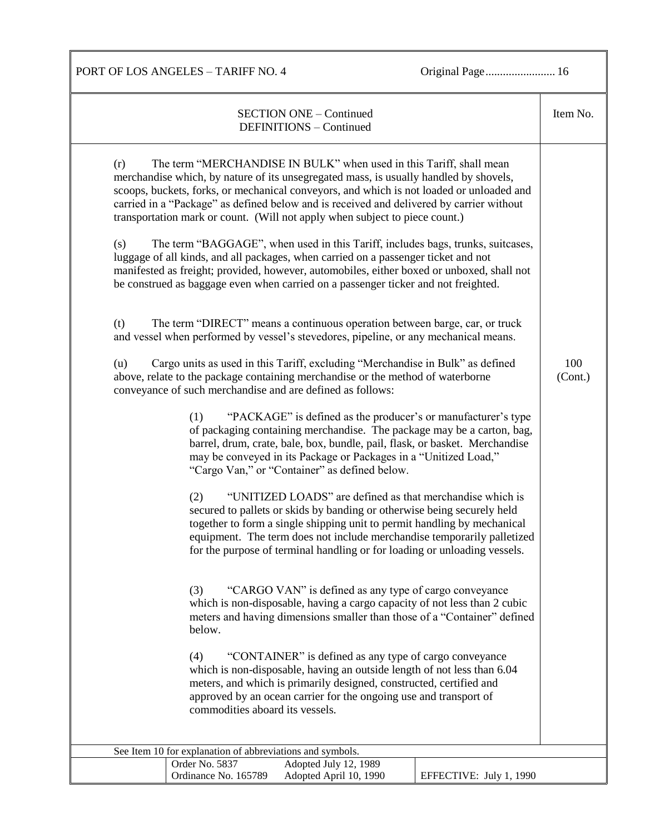PORT OF LOS ANGELES - TARIFF NO. 4 Original Page................................ 16

| <b>SECTION ONE - Continued</b><br>DEFINITIONS - Continued                                                                                                                                                                                                                                                                                                                                                                                                                                                                                                                                                                                                                                                                                                                                                                                                                                                                                                                                                                                                                                                                                                                                                                                                                                                                                                                                                                                                                                                                                                                                                                                                                                                                                                                                                                                                                                                                                                                                                                                                                                                                                                                                                                                                                                                                                                                                                                                                                                                                                     | Item No.       |
|-----------------------------------------------------------------------------------------------------------------------------------------------------------------------------------------------------------------------------------------------------------------------------------------------------------------------------------------------------------------------------------------------------------------------------------------------------------------------------------------------------------------------------------------------------------------------------------------------------------------------------------------------------------------------------------------------------------------------------------------------------------------------------------------------------------------------------------------------------------------------------------------------------------------------------------------------------------------------------------------------------------------------------------------------------------------------------------------------------------------------------------------------------------------------------------------------------------------------------------------------------------------------------------------------------------------------------------------------------------------------------------------------------------------------------------------------------------------------------------------------------------------------------------------------------------------------------------------------------------------------------------------------------------------------------------------------------------------------------------------------------------------------------------------------------------------------------------------------------------------------------------------------------------------------------------------------------------------------------------------------------------------------------------------------------------------------------------------------------------------------------------------------------------------------------------------------------------------------------------------------------------------------------------------------------------------------------------------------------------------------------------------------------------------------------------------------------------------------------------------------------------------------------------------------|----------------|
| The term "MERCHANDISE IN BULK" when used in this Tariff, shall mean<br>(r)<br>merchandise which, by nature of its unsegregated mass, is usually handled by shovels,<br>scoops, buckets, forks, or mechanical conveyors, and which is not loaded or unloaded and<br>carried in a "Package" as defined below and is received and delivered by carrier without<br>transportation mark or count. (Will not apply when subject to piece count.)<br>The term "BAGGAGE", when used in this Tariff, includes bags, trunks, suitcases,<br>(s)<br>luggage of all kinds, and all packages, when carried on a passenger ticket and not<br>manifested as freight; provided, however, automobiles, either boxed or unboxed, shall not<br>be construed as baggage even when carried on a passenger ticker and not freighted.<br>The term "DIRECT" means a continuous operation between barge, car, or truck<br>(t)<br>and vessel when performed by vessel's stevedores, pipeline, or any mechanical means.<br>Cargo units as used in this Tariff, excluding "Merchandise in Bulk" as defined<br>(u)<br>above, relate to the package containing merchandise or the method of waterborne<br>conveyance of such merchandise and are defined as follows:<br>"PACKAGE" is defined as the producer's or manufacturer's type<br>(1)<br>of packaging containing merchandise. The package may be a carton, bag,<br>barrel, drum, crate, bale, box, bundle, pail, flask, or basket. Merchandise<br>may be conveyed in its Package or Packages in a "Unitized Load,"<br>"Cargo Van," or "Container" as defined below.<br>"UNITIZED LOADS" are defined as that merchandise which is<br>(2)<br>secured to pallets or skids by banding or otherwise being securely held<br>together to form a single shipping unit to permit handling by mechanical<br>equipment. The term does not include merchandise temporarily palletized<br>for the purpose of terminal handling or for loading or unloading vessels.<br>"CARGO VAN" is defined as any type of cargo conveyance<br>(3)<br>which is non-disposable, having a cargo capacity of not less than 2 cubic<br>meters and having dimensions smaller than those of a "Container" defined<br>below.<br>"CONTAINER" is defined as any type of cargo conveyance<br>(4)<br>which is non-disposable, having an outside length of not less than 6.04<br>meters, and which is primarily designed, constructed, certified and<br>approved by an ocean carrier for the ongoing use and transport of<br>commodities aboard its vessels. | 100<br>(Cont.) |
| See Item 10 for explanation of abbreviations and symbols.<br>Order No. 5837<br>Adopted July 12, 1989                                                                                                                                                                                                                                                                                                                                                                                                                                                                                                                                                                                                                                                                                                                                                                                                                                                                                                                                                                                                                                                                                                                                                                                                                                                                                                                                                                                                                                                                                                                                                                                                                                                                                                                                                                                                                                                                                                                                                                                                                                                                                                                                                                                                                                                                                                                                                                                                                                          |                |
| Ordinance No. 165789<br>Adopted April 10, 1990<br>EFFECTIVE: July 1, 1990                                                                                                                                                                                                                                                                                                                                                                                                                                                                                                                                                                                                                                                                                                                                                                                                                                                                                                                                                                                                                                                                                                                                                                                                                                                                                                                                                                                                                                                                                                                                                                                                                                                                                                                                                                                                                                                                                                                                                                                                                                                                                                                                                                                                                                                                                                                                                                                                                                                                     |                |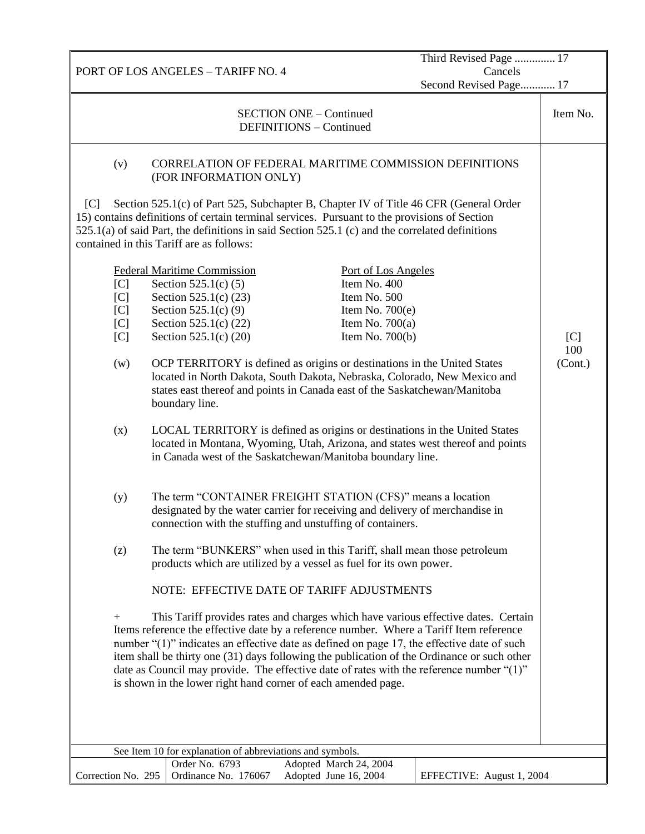PORT OF LOS ANGELES – TARIFF NO. 4 Third Revised Page .............. 17 Cancels Second Revised Page............ 17 SECTION ONE – Continued DEFINITIONS – Continued Item No. (v) CORRELATION OF FEDERAL MARITIME COMMISSION DEFINITIONS (FOR INFORMATION ONLY) [C] Section 525.1(c) of Part 525, Subchapter B, Chapter IV of Title 46 CFR (General Order 15) contains definitions of certain terminal services. Pursuant to the provisions of Section 525.1(a) of said Part, the definitions in said Section 525.1 (c) and the correlated definitions contained in this Tariff are as follows: Federal Maritime Commission<br>
Port of Los Angeles [C] Section 525.1(c) (5) Item No. 400 [C] Section 525.1(c)  $(23)$  Item No. 500 [C] Section 525.1(c) (9) Item No. 700(e) [C] Section 525.1(c) (22) Item No. 700(a) [C] Section 525.1(c) (20) Item No. 700(b) (w) OCP TERRITORY is defined as origins or destinations in the United States located in North Dakota, South Dakota, Nebraska, Colorado, New Mexico and states east thereof and points in Canada east of the Saskatchewan/Manitoba boundary line. (x) LOCAL TERRITORY is defined as origins or destinations in the United States located in Montana, Wyoming, Utah, Arizona, and states west thereof and points in Canada west of the Saskatchewan/Manitoba boundary line. (y) The term "CONTAINER FREIGHT STATION (CFS)" means a location designated by the water carrier for receiving and delivery of merchandise in connection with the stuffing and unstuffing of containers. (z) The term "BUNKERS" when used in this Tariff, shall mean those petroleum products which are utilized by a vessel as fuel for its own power. NOTE: EFFECTIVE DATE OF TARIFF ADJUSTMENTS + This Tariff provides rates and charges which have various effective dates. Certain Items reference the effective date by a reference number. Where a Tariff Item reference number "(1)" indicates an effective date as defined on page 17, the effective date of such item shall be thirty one (31) days following the publication of the Ordinance or such other date as Council may provide. The effective date of rates with the reference number "(1)" is shown in the lower right hand corner of each amended page.  $[<sub>C</sub>]$ 100 (Cont.) See Item 10 for explanation of abbreviations and symbols. Correction No. 295 Order No. 6793 Adopted March 24, 2004 Ordinance No. 176067 Adopted June 16, 2004 EFFECTIVE: August 1, 2004